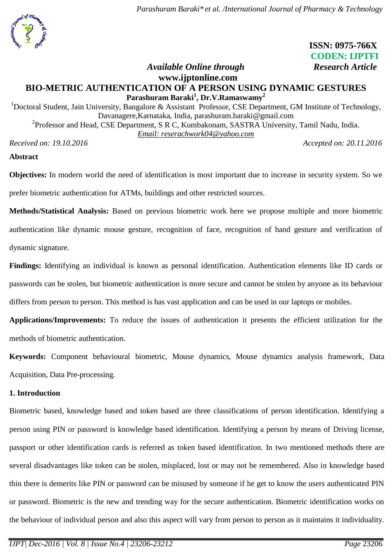

## **ISSN: 0975-766X CODEN: IJPTFI** *Available Online through* Research Article

# **www.ijptonline.com BIO-METRIC AUTHENTICATION OF A PERSON USING DYNAMIC GESTURES Parashuram Baraki<sup>1</sup> , Dr.V.Ramaswamy<sup>2</sup>**

<sup>1</sup>Doctoral Student, Jain University, Bangalore & Assistant Professor, CSE Department, GM Institute of Technology, Davanagere,Karnataka, India, [parashuram.baraki@gmail.com](mailto:parashuram.baraki@gmail.com)

<sup>2</sup>Professor and Head, CSE Department, S R C, Kumbakonam, SASTRA University, Tamil Nadu, India. *Email: [reserachwork04@yahoo.com](mailto:reserachwork04@yahoo.com)*

**Abstract**

*Received on: 19.10.2016 Accepted on: 20.11.2016*

**Objectives:** In modern world the need of identification is most important due to increase in security system. So we prefer biometric authentication for ATMs, buildings and other restricted sources.

**Methods/Statistical Analysis:** Based on previous biometric work here we propose multiple and more biometric authentication like dynamic mouse gesture, recognition of face, recognition of hand gesture and verification of dynamic signature.

**Findings:** Identifying an individual is known as personal identification. Authentication elements like ID cards or passwords can be stolen, but biometric authentication is more secure and cannot be stolen by anyone as its behaviour differs from person to person. This method is has vast application and can be used in our laptops or mobiles.

**Applications/Improvements:** To reduce the issues of authentication it presents the efficient utilization for the methods of biometric authentication.

**Keywords:** Component behavioural biometric, Mouse dynamics, Mouse dynamics analysis framework, Data Acquisition, Data Pre-processing.

### **1. Introduction**

Biometric based, knowledge based and token based are three classifications of person identification. Identifying a person using PIN or password is knowledge based identification. Identifying a person by means of Driving license, passport or other identification cards is referred as token based identification. In two mentioned methods there are several disadvantages like token can be stolen, misplaced, lost or may not be remembered. Also in knowledge based thin there is demerits like PIN or password can be misused by someone if he get to know the users authenticated PIN or password. Biometric is the new and trending way for the secure authentication. Biometric identification works on the behaviour of individual person and also this aspect will vary from person to person as it maintains it individuality.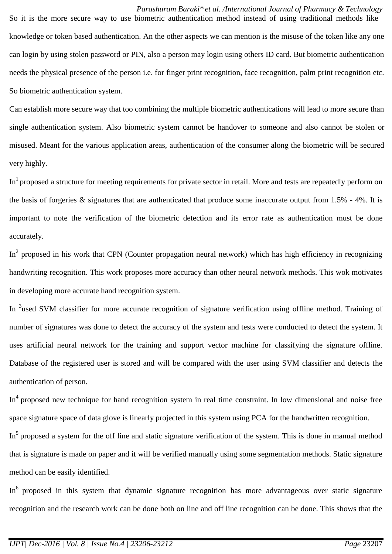*Parashuram Baraki\* et al. /International Journal of Pharmacy & Technology* So it is the more secure way to use biometric authentication method instead of using traditional methods like knowledge or token based authentication. An the other aspects we can mention is the misuse of the token like any one can login by using stolen password or PIN, also a person may login using others ID card. But biometric authentication needs the physical presence of the person i.e. for finger print recognition, face recognition, palm print recognition etc. So biometric authentication system.

Can establish more secure way that too combining the multiple biometric authentications will lead to more secure than single authentication system. Also biometric system cannot be handover to someone and also cannot be stolen or misused. Meant for the various application areas, authentication of the consumer along the biometric will be secured very highly.

In<sup>1</sup> proposed a structure for meeting requirements for private sector in retail. More and tests are repeatedly perform on the basis of forgeries  $\&$  signatures that are authenticated that produce some inaccurate output from 1.5% - 4%. It is important to note the verification of the biometric detection and its error rate as authentication must be done accurately.

In<sup>2</sup> proposed in his work that CPN (Counter propagation neural network) which has high efficiency in recognizing handwriting recognition. This work proposes more accuracy than other neural network methods. This wok motivates in developing more accurate hand recognition system.

In <sup>3</sup>used SVM classifier for more accurate recognition of signature verification using offline method. Training of number of signatures was done to detect the accuracy of the system and tests were conducted to detect the system. It uses artificial neural network for the training and support vector machine for classifying the signature offline. Database of the registered user is stored and will be compared with the user using SVM classifier and detects the authentication of person.

In<sup>4</sup> proposed new technique for hand recognition system in real time constraint. In low dimensional and noise free space signature space of data glove is linearly projected in this system using PCA for the handwritten recognition.

In<sup>5</sup> proposed a system for the off line and static signature verification of the system. This is done in manual method that is signature is made on paper and it will be verified manually using some segmentation methods. Static signature method can be easily identified.

In<sup>6</sup> proposed in this system that dynamic signature recognition has more advantageous over static signature recognition and the research work can be done both on line and off line recognition can be done. This shows that the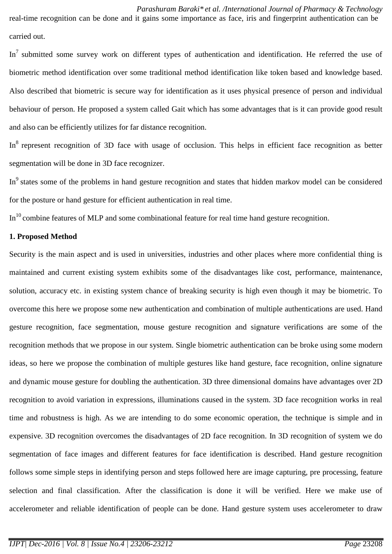*Parashuram Baraki\* et al. /International Journal of Pharmacy & Technology* real-time recognition can be done and it gains some importance as face, iris and fingerprint authentication can be carried out.

In<sup>7</sup> submitted some survey work on different types of authentication and identification. He referred the use of biometric method identification over some traditional method identification like token based and knowledge based. Also described that biometric is secure way for identification as it uses physical presence of person and individual behaviour of person. He proposed a system called Gait which has some advantages that is it can provide good result and also can be efficiently utilizes for far distance recognition.

In<sup>8</sup> represent recognition of 3D face with usage of occlusion. This helps in efficient face recognition as better segmentation will be done in 3D face recognizer.

In<sup>9</sup> states some of the problems in hand gesture recognition and states that hidden markov model can be considered for the posture or hand gesture for efficient authentication in real time.

 $In<sup>10</sup>$  combine features of MLP and some combinational feature for real time hand gesture recognition.

#### **1. Proposed Method**

Security is the main aspect and is used in universities, industries and other places where more confidential thing is maintained and current existing system exhibits some of the disadvantages like cost, performance, maintenance, solution, accuracy etc. in existing system chance of breaking security is high even though it may be biometric. To overcome this here we propose some new authentication and combination of multiple authentications are used. Hand gesture recognition, face segmentation, mouse gesture recognition and signature verifications are some of the recognition methods that we propose in our system. Single biometric authentication can be broke using some modern ideas, so here we propose the combination of multiple gestures like hand gesture, face recognition, online signature and dynamic mouse gesture for doubling the authentication. 3D three dimensional domains have advantages over 2D recognition to avoid variation in expressions, illuminations caused in the system. 3D face recognition works in real time and robustness is high. As we are intending to do some economic operation, the technique is simple and in expensive. 3D recognition overcomes the disadvantages of 2D face recognition. In 3D recognition of system we do segmentation of face images and different features for face identification is described. Hand gesture recognition follows some simple steps in identifying person and steps followed here are image capturing, pre processing, feature selection and final classification. After the classification is done it will be verified. Here we make use of accelerometer and reliable identification of people can be done. Hand gesture system uses accelerometer to draw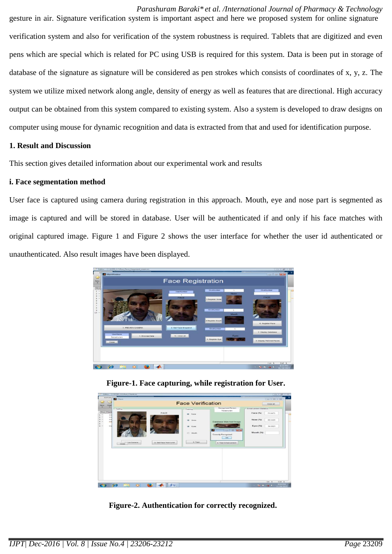*Parashuram Baraki\* et al. /International Journal of Pharmacy & Technology* gesture in air. Signature verification system is important aspect and here we proposed system for online signature verification system and also for verification of the system robustness is required. Tablets that are digitized and even pens which are special which is related for PC using USB is required for this system. Data is been put in storage of database of the signature as signature will be considered as pen strokes which consists of coordinates of x, y, z. The system we utilize mixed network along angle, density of energy as well as features that are directional. High accuracy output can be obtained from this system compared to existing system. Also a system is developed to draw designs on computer using mouse for dynamic recognition and data is extracted from that and used for identification purpose.

#### **1. Result and Discussion**

This section gives detailed information about our experimental work and results

#### **i. Face segmentation method**

User face is captured using camera during registration in this approach. Mouth, eye and nose part is segmented as image is captured and will be stored in database. User will be authenticated if and only if his face matches with original captured image. Figure 1 and Figure 2 shows the user interface for whether the user id authenticated or unauthenticated. Also result images have been displayed.





| EDITOR EL Client             | <b>Face Verification</b>           |                                           | Close all              |
|------------------------------|------------------------------------|-------------------------------------------|------------------------|
| Oper<br>۰                    |                                    | Recognized Person                         |                        |
| - Testing<br>Flun Client     | Training                           | Parashuram                                | Enhancement Statistics |
| $\sigma$ a                   | FACE<br>Face<br>۰                  |                                           | Face (%)<br>71,0473    |
| $\alpha$<br>$\sigma$ a<br>MA | Nase<br>٠                          | Database Matched Image                    | None (%)<br>65.5423    |
| $^{-1}$                      | <b>W</b> Eyes                      |                                           | Eyes (%)<br>\$4,0821   |
|                              | <b>CO.</b> Mouth                   | $-10$<br>٠<br>Correctly Recognized<br>OK. | Mouth (%)              |
| A.A.Jun Campra<br>Close.     | $2.7$ rain<br>2. Out Face from CAM | 4. Test Erhancement                       |                        |
|                              |                                    |                                           |                        |
|                              |                                    |                                           |                        |
|                              |                                    |                                           |                        |

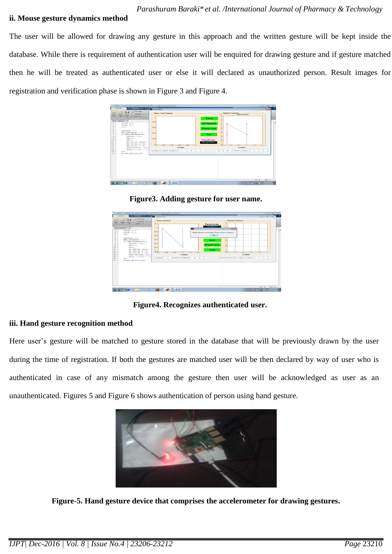#### **ii. Mouse gesture dynamics method**

The user will be allowed for drawing any gesture in this approach and the written gesture will be kept inside the database. While there is requirement of authentication user will be enquired for drawing gesture and if gesture matched then he will be treated as authenticated user or else it will declared as unauthorized person. Result images for registration and verification phase is shown in Figure 3 and Figure 4.



**Figure3. Adding gesture for user name.**



**Figure4. Recognizes authenticated user.**

#### **iii. Hand gesture recognition method**

Here user's gesture will be matched to gesture stored in the database that will be previously drawn by the user during the time of registration. If both the gestures are matched user will be then declared by way of user who is authenticated in case of any mismatch among the gesture then user will be acknowledged as user as an unauthenticated. Figures 5 and Figure 6 shows authentication of person using hand gesture.



**Figure-5. Hand gesture device that comprises the accelerometer for drawing gestures.**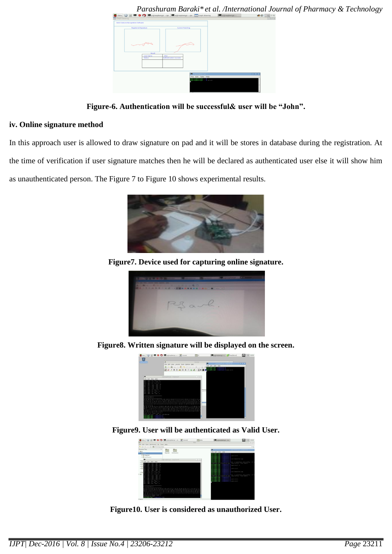| Draph drawing pigcaspberypi: ~/ge. Digitaspberypi: ~/ge. Diraph drawing<br>pi@raspberrypi: ~<br>Menu (3)<br>Graph drawing  | Parashuram Baraki* et al. /International Journal of Pharmacy & Technology<br>■ 9 2132<br>$\boxed{ - \left\vert \alpha \right\vert \left\vert \alpha \right\vert }$ |
|----------------------------------------------------------------------------------------------------------------------------|--------------------------------------------------------------------------------------------------------------------------------------------------------------------|
| Hand Gesture Recognistion Software                                                                                         |                                                                                                                                                                    |
| Current Matching<br>Registered Signature<br><b>Besch</b><br>things<br><b>User Name</b><br>Authentication Success<br>Status |                                                                                                                                                                    |
| <b>horner</b><br>trasaberryai - 6 crest                                                                                    | .                                                                                                                                                                  |

**Figure-6. Authentication will be successful& user will be "John".**

#### **iv. Online signature method**

In this approach user is allowed to draw signature on pad and it will be stores in database during the registration. At the time of verification if user signature matches then he will be declared as authenticated user else it will show him as unauthenticated person. The Figure 7 to Figure 10 shows experimental results.



**Figure7. Device used for capturing online signature.**



**Figure8. Written signature will be displayed on the screen.**







**Figure10. User is considered as unauthorized User.**